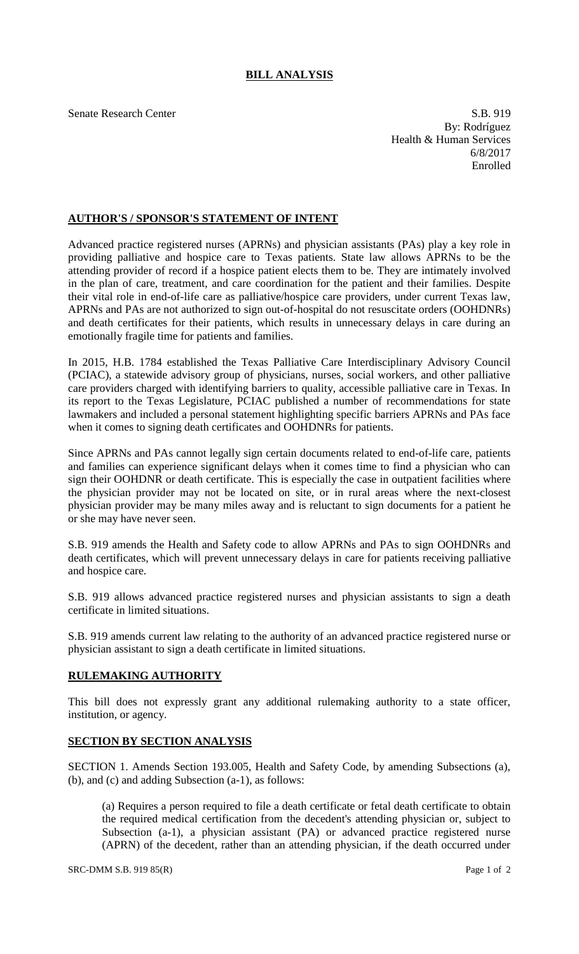## **BILL ANALYSIS**

Senate Research Center S.B. 919 By: Rodríguez Health & Human Services 6/8/2017 Enrolled

## **AUTHOR'S / SPONSOR'S STATEMENT OF INTENT**

Advanced practice registered nurses (APRNs) and physician assistants (PAs) play a key role in providing palliative and hospice care to Texas patients. State law allows APRNs to be the attending provider of record if a hospice patient elects them to be. They are intimately involved in the plan of care, treatment, and care coordination for the patient and their families. Despite their vital role in end-of-life care as palliative/hospice care providers, under current Texas law, APRNs and PAs are not authorized to sign out-of-hospital do not resuscitate orders (OOHDNRs) and death certificates for their patients, which results in unnecessary delays in care during an emotionally fragile time for patients and families.

In 2015, H.B. 1784 established the Texas Palliative Care Interdisciplinary Advisory Council (PCIAC), a statewide advisory group of physicians, nurses, social workers, and other palliative care providers charged with identifying barriers to quality, accessible palliative care in Texas. In its report to the Texas Legislature, PCIAC published a number of recommendations for state lawmakers and included a personal statement highlighting specific barriers APRNs and PAs face when it comes to signing death certificates and OOHDNRs for patients.

Since APRNs and PAs cannot legally sign certain documents related to end-of-life care, patients and families can experience significant delays when it comes time to find a physician who can sign their OOHDNR or death certificate. This is especially the case in outpatient facilities where the physician provider may not be located on site, or in rural areas where the next-closest physician provider may be many miles away and is reluctant to sign documents for a patient he or she may have never seen.

S.B. 919 amends the Health and Safety code to allow APRNs and PAs to sign OOHDNRs and death certificates, which will prevent unnecessary delays in care for patients receiving palliative and hospice care.

S.B. 919 allows advanced practice registered nurses and physician assistants to sign a death certificate in limited situations.

S.B. 919 amends current law relating to the authority of an advanced practice registered nurse or physician assistant to sign a death certificate in limited situations.

## **RULEMAKING AUTHORITY**

This bill does not expressly grant any additional rulemaking authority to a state officer, institution, or agency.

## **SECTION BY SECTION ANALYSIS**

SECTION 1. Amends Section 193.005, Health and Safety Code, by amending Subsections (a), (b), and (c) and adding Subsection (a-1), as follows:

(a) Requires a person required to file a death certificate or fetal death certificate to obtain the required medical certification from the decedent's attending physician or, subject to Subsection (a-1), a physician assistant (PA) or advanced practice registered nurse (APRN) of the decedent, rather than an attending physician, if the death occurred under